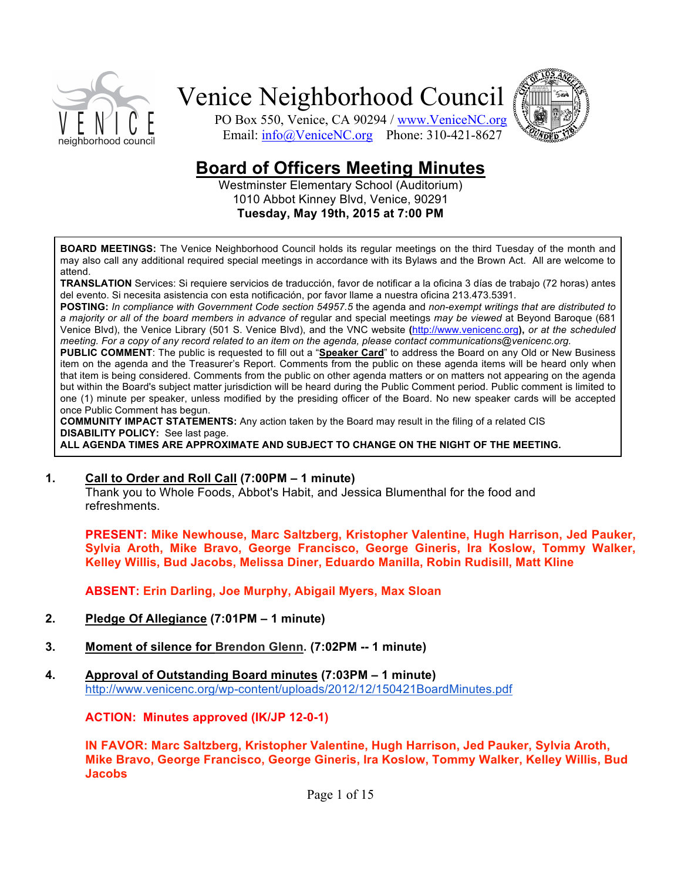



PO Box 550, Venice, CA 90294 / www.VeniceNC.org Email: info@VeniceNC.org Phone: 310-421-8627

# **Board&of&Officers&Meeting&Minutes**

Westminster Elementary School (Auditorium) 1010 Abbot Kinney Blvd, Venice, 90291 **Tuesday,&May&19th,&2015&at&7:00&PM**

**BOARD MEETINGS:** The Venice Neighborhood Council holds its regular meetings on the third Tuesday of the month and may also call any additional required special meetings in accordance with its Bylaws and the Brown Act. All are welcome to attend.

TRANSLATION Services: Si requiere servicios de traducción, favor de notificar a la oficina 3 días de trabajo (72 horas) antes del evento. Si necesita asistencia con esta notificación, por favor llame a nuestra oficina 213.473.5391.

POSTING: In compliance with Government Code section 54957.5 the agenda and non-exempt writings that are distributed to a majority or all of the board members in advance of regular and special meetings may be viewed at Beyond Baroque (681 Venice Blvd), the Venice Library (501 S. Venice Blvd), and the VNC website (http://www.venicenc.org), or at the scheduled *meeting. For a copy of any record related to an item on the agenda, please contact communications@venicenc.org.* 

PUBLIC COMMENT: The public is requested to fill out a "Speaker Card" to address the Board on any Old or New Business item on the agenda and the Treasurer's Report. Comments from the public on these agenda items will be heard only when that item is being considered. Comments from the public on other agenda matters or on matters not appearing on the agenda but within the Board's subject matter jurisdiction will be heard during the Public Comment period. Public comment is limited to one (1) minute per speaker, unless modified by the presiding officer of the Board. No new speaker cards will be accepted once Public Comment has begun.

**COMMUNITY IMPACT STATEMENTS:** Any action taken by the Board may result in the filing of a related CIS **DISABILITY POLICY:** See last page. ALL AGENDA TIMES ARE APPROXIMATE AND SUBJECT TO CHANGE ON THE NIGHT OF THE MEETING.

#### **1. Call to Order and Roll Call (7:00PM – 1 minute)**

Thank you to Whole Foods, Abbot's Habit, and Jessica Blumenthal for the food and refreshments.

**PRESENT: Mike Newhouse, Marc Saltzberg, Kristopher Valentine, Hugh Harrison, Jed Pauker,** Sylvia Aroth, Mike Bravo, George Francisco, George Gineris, Ira Koslow, Tommy Walker, **Kelley&Willis,&Bud&Jacobs, Melissa&Diner,&Eduardo&Manilla,&Robin&Rudisill,&Matt&Kline**

**ABSENT: Erin&Darling,&Joe&Murphy,&Abigail&Myers,&Max&Sloan**

- **2.&&&&& Pledge&Of&Allegiance (7:01PM&– 1&minute)**
- **3. Moment of silence for Brendon Glenn. (7:02PM -- 1 minute)**
- **4.&&&&& Approval&of&Outstanding&Board&minutes (7:03PM&– 1&minute)** http://www.venicenc.org/wp-content/uploads/2012/12/150421BoardMinutes.pdf

**ACTION: Minutes approved (IK/JP 12-0-1)** 

**IN FAVOR: Marc Saltzberg, Kristopher Valentine, Hugh Harrison, Jed Pauker, Sylvia Aroth, Mike Bravo, George Francisco, George Gineris, Ira Koslow, Tommy Walker, Kelley Willis, Bud Jacobs**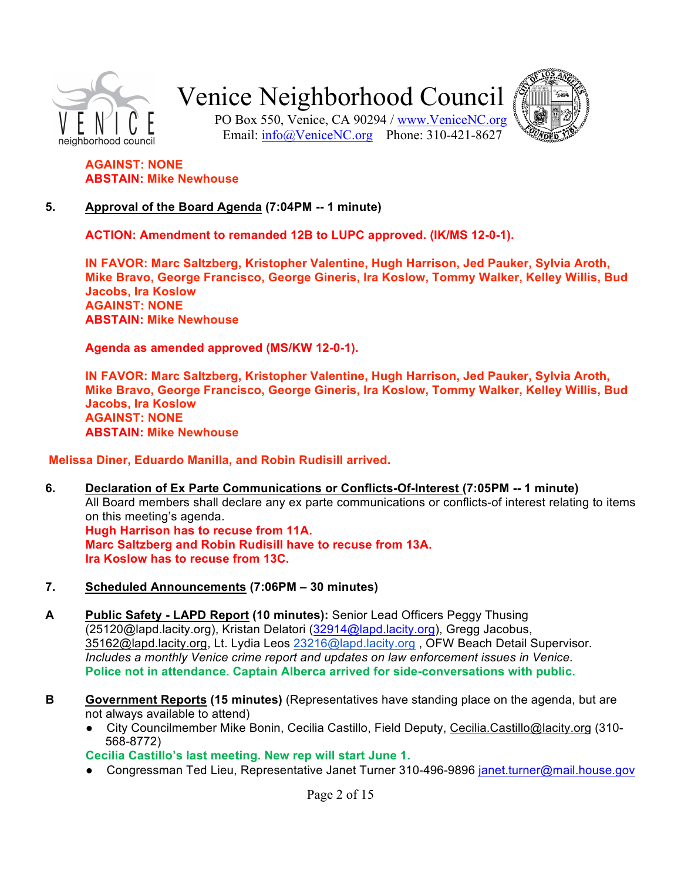



PO Box 550, Venice, CA 90294 / www.VeniceNC.org Email: info@VeniceNC.org Phone: 310-421-8627

### **AGAINST: NONE ABSTAIN: Mike Newhouse**

#### **5.** Approval of the Board Agenda (7:04PM -- 1 minute)

**ACTION: Amendment to remanded 12B to LUPC approved. (IK/MS 12-0-1).** 

**IN FAVOR: Marc Saltzberg, Kristopher Valentine, Hugh Harrison, Jed Pauker, Sylvia Aroth, Mike Bravo, George Francisco, George Gineris, Ira Koslow, Tommy Walker, Kelley Willis, Bud Jacobs, Ira&Koslow AGAINST: NONE ABSTAIN: Mike Newhouse** 

**Agenda as amended approved (MS/KW 12-0-1).** 

**IN FAVOR: Marc Saltzberg, Kristopher Valentine, Hugh Harrison, Jed Pauker, Sylvia Aroth, Mike Bravo, George Francisco, George Gineris, Ira Koslow, Tommy Walker, Kelley Willis, Bud Jacobs, Ira&Koslow AGAINST: NONE ABSTAIN: Mike Newhouse** 

#### **Melissa Diner, Eduardo Manilla, and Robin Rudisill arrived.**

- 6. Declaration of Ex Parte Communications or Conflicts-Of-Interest (7:05PM -- 1 minute) All Board members shall declare any ex parte communications or conflicts-of interest relating to items on this meeting's agenda. **Hugh Harrison has to recuse from 11A. Marc Saltzberg and Robin Rudisill have to recuse from 13A. Ira Koslow has to recuse from 13C.**
- **7.** Scheduled Announcements (7:06PM 30 minutes)
- **A** Public Safety LAPD Report (10 minutes): Senior Lead Officers Peggy Thusing (25120@lapd.lacity.org), Kristan Delatori (32914@lapd.lacity.org), Gregg Jacobus, 35162@lapd.lacity.org, Lt. Lydia Leos 23216@lapd.lacity.org, OFW Beach Detail Supervisor. *Includes a monthly Venice crime report and updates on law enforcement issues in Venice.* **Police not in attendance. Captain Alberca arrived for side-conversations with public.**
- **B** Government Reports (15 minutes) (Representatives have standing place on the agenda, but are not always available to attend)
	- City Councilmember Mike Bonin, Cecilia Castillo, Field Deputy, Cecilia.Castillo@lacity.org (310-568-8772)

Cecilia Castillo's last meeting. New rep will start June 1.

● Congressman Ted Lieu, Representative Janet Turner 310-496-9896 janet.turner@mail.house.gov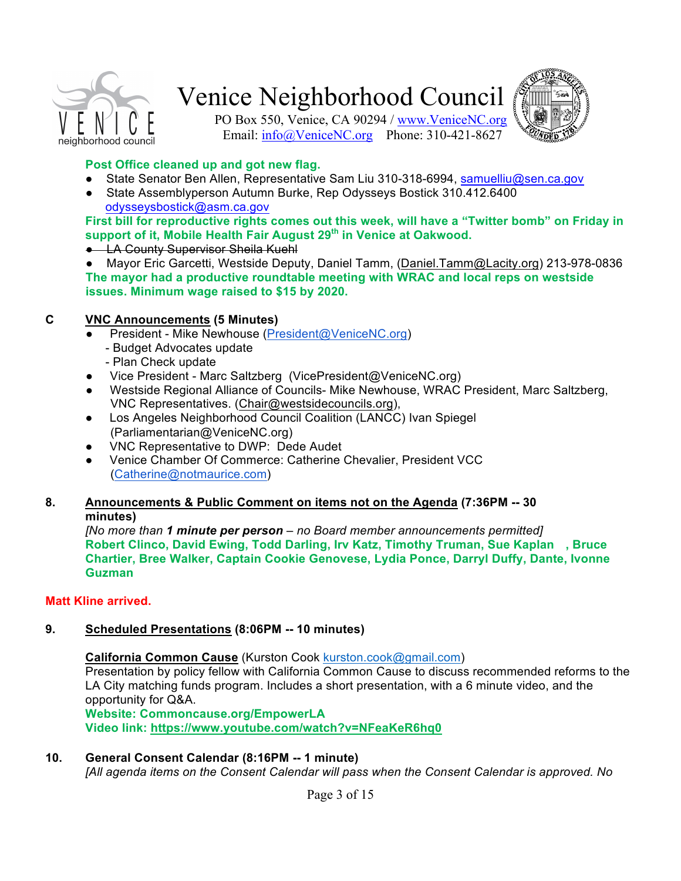



PO Box 550, Venice, CA 90294 / www.VeniceNC.org Email: info@VeniceNC.org Phone: 310-421-8627

#### **Post Office cleaned up and got new flag.**

- State Senator Ben Allen, Representative Sam Liu 310-318-6994, samuelliu@sen.ca.gov
- State Assemblyperson Autumn Burke, Rep Odysseys Bostick 310.412.6400 odysseysbostick@asm.ca.gov

First bill for reproductive rights comes out this week, will have a "Twitter bomb" on Friday in **support&of&it,&Mobile&Health&Fair&August&29th in&Venice at&Oakwood.**

#### **• LA County Supervisor Sheila Kuehl**

● Mayor Eric Garcetti, Westside Deputy, Daniel Tamm, (Daniel.Tamm@Lacity.org) 213-978-0836 **The mayor had a productive roundtable meeting with WRAC and local reps on westside issues. Minimum wage raised to \$15 by 2020.** 

### **C&&&&& VNC&Announcements (5&Minutes)**

- President Mike Newhouse (President@VeniceNC.org)
	- Budget Advocates update
	- Plan Check update
- Vice President Marc Saltzberg (VicePresident@VeniceNC.org)
- Westside Regional Alliance of Councils- Mike Newhouse, WRAC President, Marc Saltzberg, VNC Representatives. (Chair@westsidecouncils.org),
- Los Angeles Neighborhood Council Coalition (LANCC) Ivan Spiegel (Parliamentarian@VeniceNC.org)
- VNC Representative to DWP: Dede Audet
- Venice Chamber Of Commerce: Catherine Chevalier, President VCC (Catherine@notmaurice.com)

#### **8.** Announcements & Public Comment on items not on the Agenda (7:36PM -- 30 **minutes)**

*[No more than 1 minute per person – no Board member announcements permitted]* Robert Clinco, David Ewing, Todd Darling, Irv Katz, Timothy Truman, Sue Kaplan , Bruce **Chartier, Bree Walker, Captain Cookie Genovese, Lydia Ponce, Darryl Duffy, Dante, Ivonne Guzman**

#### **Matt Kline arrived.**

### **9.** Scheduled Presentations (8:06PM -- 10 minutes)

**California Common Cause** (Kurston Cook kurston.cook@gmail.com)

Presentation by policy fellow with California Common Cause to discuss recommended reforms to the LA City matching funds program. Includes a short presentation, with a 6 minute video, and the opportunity for Q&A.

**Website:&Commoncause.org/EmpowerLA** Video link: https://www.youtube.com/watch?v=NFeaKeR6hq0

#### 10. **General Consent Calendar (8:16PM -- 1 minute)**

*[All agenda items on the Consent Calendar will pass when the Consent Calendar is approved. No*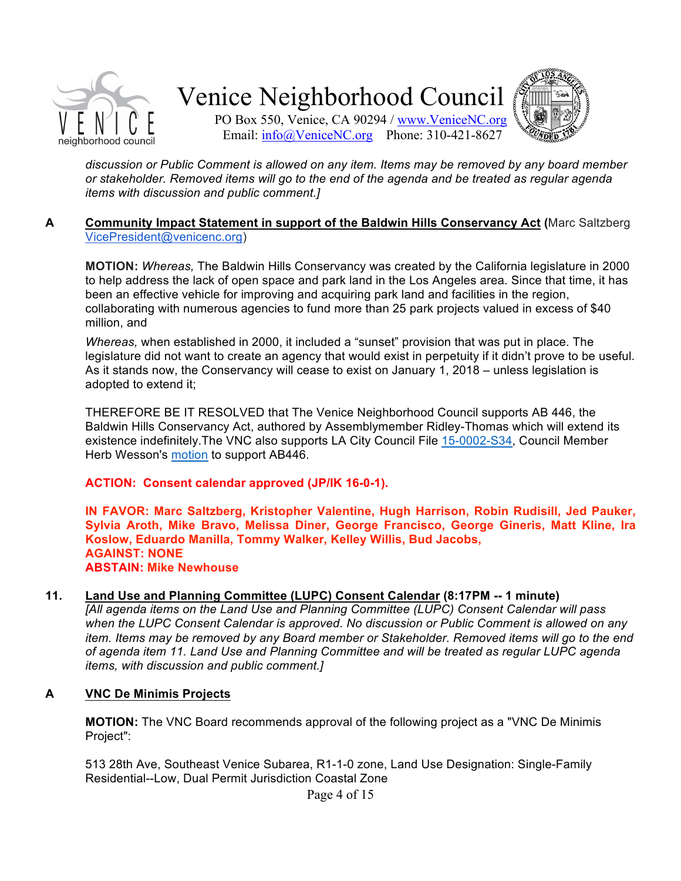



PO Box 550, Venice, CA 90294 / www.VeniceNC.org Email: info@VeniceNC.org Phone: 310-421-8627

discussion or Public Comment is allowed on any item. Items may be removed by any board member or stakeholder. Removed items will go to the end of the agenda and be treated as regular agenda *items with discussion and public comment.]* 

#### **A Community Impact Statement in support of the Baldwin Hills Conservancy Act (Marc Saltzberg)** VicePresident@venicenc.org)

**MOTION:** Whereas, The Baldwin Hills Conservancy was created by the California legislature in 2000 to help address the lack of open space and park land in the Los Angeles area. Since that time, it has been an effective vehicle for improving and acquiring park land and facilities in the region, collaborating with numerous agencies to fund more than 25 park projects valued in excess of \$40 million, and

*Whereas, when established in 2000, it included a "sunset" provision that was put in place. The* legislature did not want to create an agency that would exist in perpetuity if it didn't prove to be useful. As it stands now, the Conservancy will cease to exist on January 1, 2018 – unless legislation is adopted to extend it:

THEREFORE BE IT RESOLVED that The Venice Neighborhood Council supports AB 446, the Baldwin Hills Conservancy Act, authored by Assemblymember Ridley-Thomas which will extend its existence indefinitely.The VNC also supports LA City Council File 15-0002-S34, Council Member Herb Wesson's motion to support AB446.

### **ACTION: Consent calendar approved (JP/IK 16-0-1).**

**IN FAVOR: Marc Saltzberg, Kristopher Valentine, Hugh Harrison, Robin Rudisill, Jed Pauker.** Sylvia Aroth, Mike Bravo, Melissa Diner, George Francisco, George Gineris, Matt Kline, Ira Koslow, Eduardo Manilla, Tommy Walker, Kelley Willis, Bud Jacobs, **AGAINST: NONE ABSTAIN: Mike Newhouse** 

#### **11.** Land Use and Planning Committee (LUPC) Consent Calendar (8:17PM -- 1 minute)

*[All agenda items on the Land Use and Planning Committee (LUPC) Consent Calendar will pass* when the LUPC Consent Calendar is approved. No discussion or Public Comment is allowed on any *item. Items may be removed by any Board member or Stakeholder. Removed items will go to the end* of agenda item 11. Land Use and Planning Committee and will be treated as regular LUPC agenda *items, with discussion and public comment.]* 

#### **A VNC&De&Minimis&Projects**

**MOTION:** The VNC Board recommends approval of the following project as a "VNC De Minimis" Project":

513 28th Ave, Southeast Venice Subarea, R1-1-0 zone, Land Use Designation: Single-Family Residential--Low, Dual Permit Jurisdiction Coastal Zone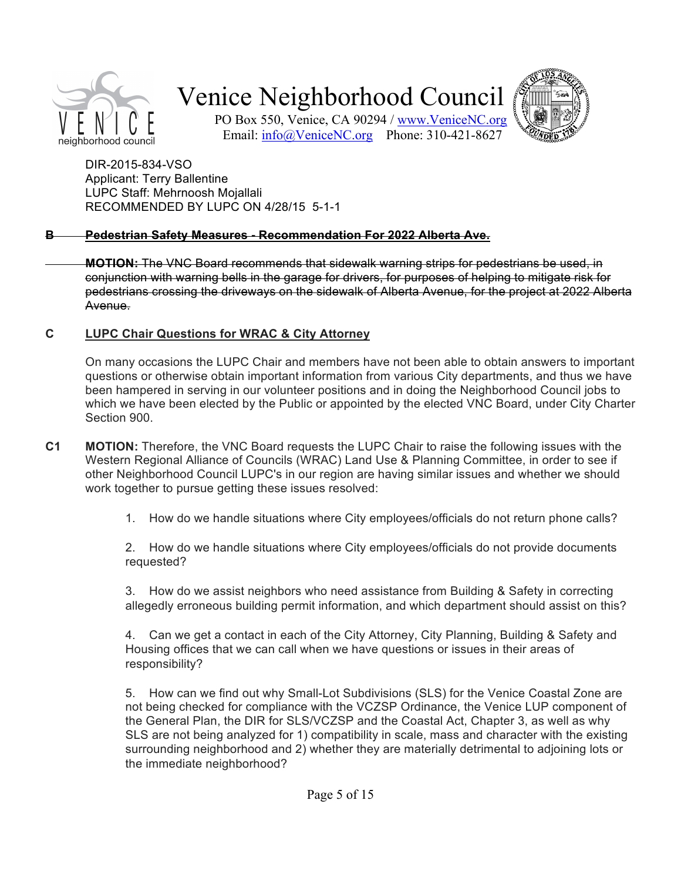



PO Box 550, Venice, CA 90294 / www.VeniceNC.org Email: info@VeniceNC.org Phone: 310-421-8627

DIR-2015-834-VSO Applicant: Terry Ballentine LUPC Staff: Mehrnoosh Mojallali RECOMMENDED BY LUPC ON 4/28/15 5-1-1

### **B** Pedestrian Safety Measures - Recommendation For 2022 Alberta Ave.

**MOTION:** The VNC Board recommends that sidewalk warning strips for pedestrians be used, in conjunction with warning bells in the garage for drivers, for purposes of helping to mitigate risk for pedestrians crossing the driveways on the sidewalk of Alberta Avenue, for the project at 2022 Alberta Avenue.

#### **C LUPC&Chair&Questions&for&WRAC&&&City&Attorney**

On many occasions the LUPC Chair and members have not been able to obtain answers to important questions or otherwise obtain important information from various City departments, and thus we have been hampered in serving in our volunteer positions and in doing the Neighborhood Council jobs to which we have been elected by the Public or appointed by the elected VNC Board, under City Charter Section 900.

- **C1 MOTION:** Therefore, the VNC Board requests the LUPC Chair to raise the following issues with the Western Regional Alliance of Councils (WRAC) Land Use & Planning Committee, in order to see if other Neighborhood Council LUPC's in our region are having similar issues and whether we should work together to pursue getting these issues resolved:
	- 1. How do we handle situations where City employees/officials do not return phone calls?

2. How do we handle situations where City employees/officials do not provide documents requested?

3. How do we assist neighbors who need assistance from Building & Safety in correcting allegedly erroneous building permit information, and which department should assist on this?

4. Can we get a contact in each of the City Attorney, City Planning, Building & Safety and Housing offices that we can call when we have questions or issues in their areas of responsibility?

5. How can we find out why Small-Lot Subdivisions (SLS) for the Venice Coastal Zone are not being checked for compliance with the VCZSP Ordinance, the Venice LUP component of the General Plan, the DIR for SLS/VCZSP and the Coastal Act, Chapter 3, as well as why SLS are not being analyzed for 1) compatibility in scale, mass and character with the existing surrounding neighborhood and 2) whether they are materially detrimental to adjoining lots or the immediate neighborhood?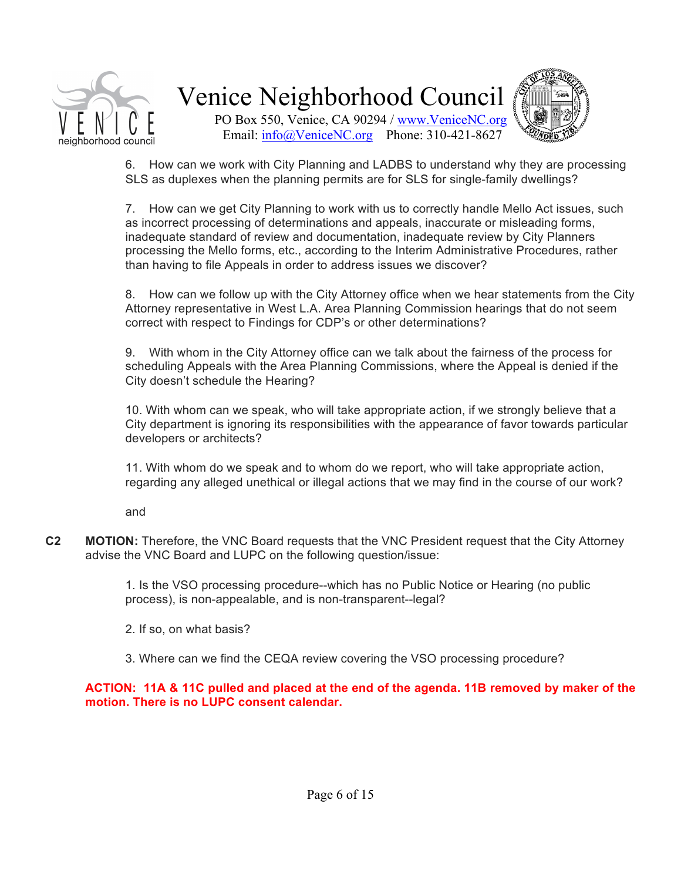

PO Box 550, Venice, CA 90294 / www.VeniceNC.org Email: info@VeniceNC.org Phone: 310-421-8627



6. How can we work with City Planning and LADBS to understand why they are processing SLS as duplexes when the planning permits are for SLS for single-family dwellings?

7. How can we get City Planning to work with us to correctly handle Mello Act issues, such as incorrect processing of determinations and appeals, inaccurate or misleading forms, inadequate standard of review and documentation, inadequate review by City Planners processing the Mello forms, etc., according to the Interim Administrative Procedures, rather than having to file Appeals in order to address issues we discover?

8. How can we follow up with the City Attorney office when we hear statements from the City Attorney representative in West L.A. Area Planning Commission hearings that do not seem correct with respect to Findings for CDP's or other determinations?

9. With whom in the City Attorney office can we talk about the fairness of the process for scheduling Appeals with the Area Planning Commissions, where the Appeal is denied if the City doesn't schedule the Hearing?

10. With whom can we speak, who will take appropriate action, if we strongly believe that a City department is ignoring its responsibilities with the appearance of favor towards particular developers or architects?

11. With whom do we speak and to whom do we report, who will take appropriate action, regarding any alleged unethical or illegal actions that we may find in the course of our work?

and

**C2 MOTION:** Therefore, the VNC Board requests that the VNC President request that the City Attorney advise the VNC Board and LUPC on the following question/issue:

> 1. Is the VSO processing procedure--which has no Public Notice or Hearing (no public process), is non-appealable, and is non-transparent--legal?

- 2. If so, on what basis?
- 3. Where can we find the CEQA review covering the VSO processing procedure?

### **ACTION: 11A & 11C pulled and placed at the end of the agenda. 11B removed by maker of the** motion. There is no LUPC consent calendar.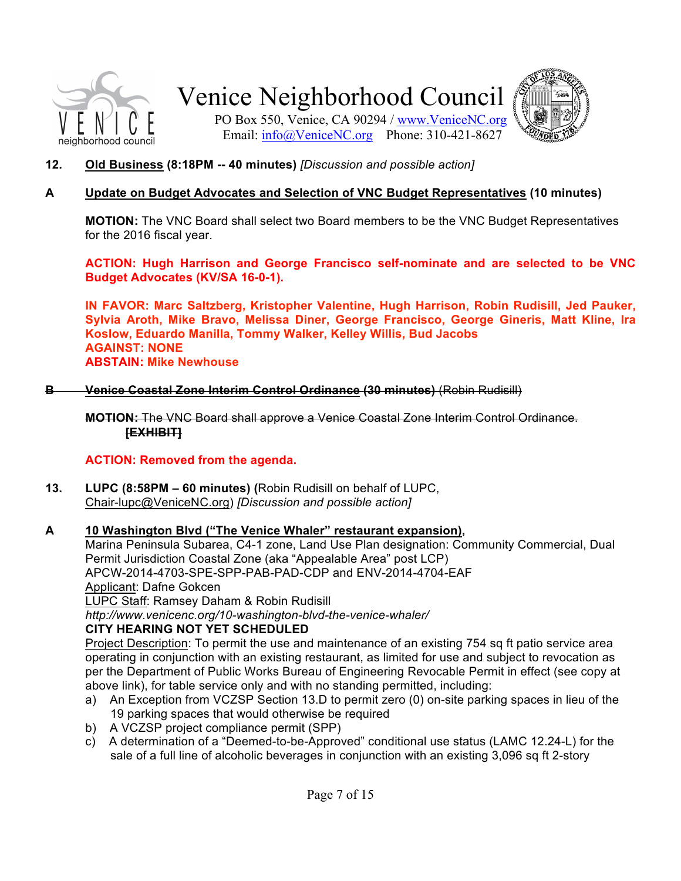



PO Box 550, Venice, CA 90294 / www.VeniceNC.org Email: info@VeniceNC.org Phone: 310-421-8627

**12. Old Business (8:18PM -- 40 minutes)** *[Discussion and possible action]* 

### A Update on Budget Advocates and Selection of VNC Budget Representatives (10 minutes)

**MOTION:** The VNC Board shall select two Board members to be the VNC Budget Representatives for the 2016 fiscal year.

**ACTION: Hugh Harrison and George Francisco self[nominate and are selected to be VNC Budget Advocates (KV/SA 16-0-1).** 

**IN FAVOR: Marc Saltzberg, Kristopher Valentine, Hugh Harrison, Robin Rudisill, Jed Pauker,** Sylvia Aroth, Mike Bravo, Melissa Diner, George Francisco, George Gineris, Matt Kline, Ira Koslow, Eduardo Manilla, Tommy Walker, Kelley Willis, Bud Jacobs **AGAINST: NONE ABSTAIN: Mike Newhouse** 

**B Venice Coastal Zone Interim Control Ordinance (30 minutes)** (Robin Rudisill)

**MOTION:** The VNC Board shall approve a Venice Coastal Zone Interim Control Ordinance. **[EXHIBIT]**

### **ACTION: Removed from the agenda.**

**13. LUPC (8:58PM – 60 minutes) (Robin Rudisill on behalf of LUPC, Chair-lupc@VeniceNC.org)** *[Discussion and possible action]* 

### **A&&& 10&Washington&Blvd&("The&Venice&Whaler"&restaurant&expansion),**

Marina Peninsula Subarea, C4-1 zone, Land Use Plan designation: Community Commercial, Dual Permit Jurisdiction Coastal Zone (aka "Appealable Area" post LCP) APCW-2014-4703-SPE-SPP-PAB-PAD-CDP and ENV-2014-4704-EAF Applicant: Dafne Gokcen LUPC Staff: Ramsey Daham & Robin Rudisill

*http://www.venicenc.org/10:washington:blvd:the:venice:whaler/*

### **CITY HEARING NOT YET SCHEDULED**

Project Description: To permit the use and maintenance of an existing 754 sq ft patio service area operating in conjunction with an existing restaurant, as limited for use and subject to revocation as per the Department of Public Works Bureau of Engineering Revocable Permit in effect (see copy at above link), for table service only and with no standing permitted, including:

- a) An Exception from VCZSP Section 13.D to permit zero (0) on-site parking spaces in lieu of the 19 parking spaces that would otherwise be required
- b) A VCZSP project compliance permit (SPP)
- c) A determination of a "Deemed-to-be-Approved" conditional use status (LAMC 12.24-L) for the sale of a full line of alcoholic beverages in conjunction with an existing 3,096 sq ft 2-story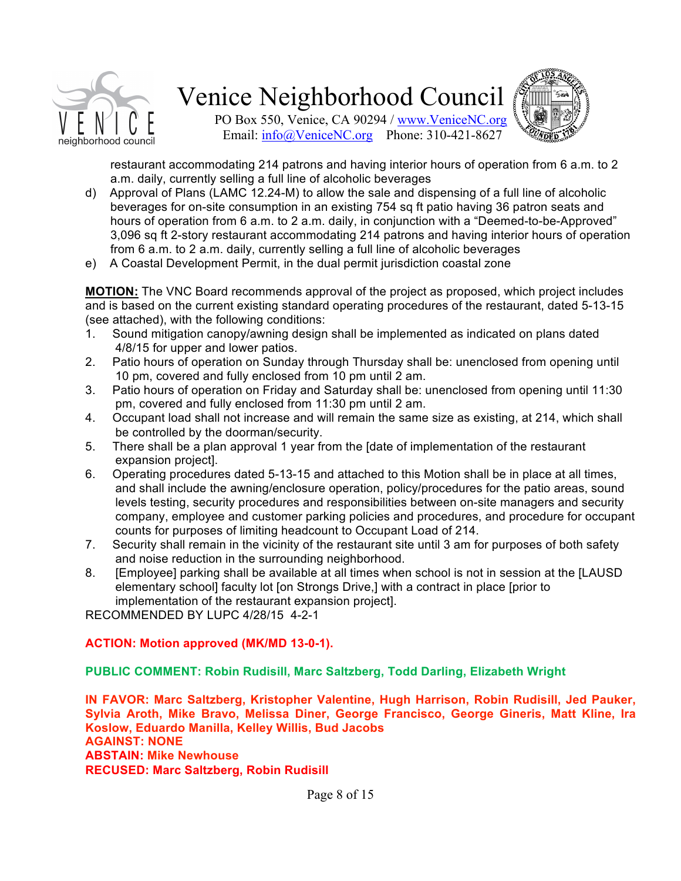



PO Box 550, Venice, CA 90294 / www.VeniceNC.org Email: info@VeniceNC.org Phone: 310-421-8627

restaurant accommodating 214 patrons and having interior hours of operation from 6 a.m. to 2 a.m. daily, currently selling a full line of alcoholic beverages

- d) Approval of Plans (LAMC 12.24-M) to allow the sale and dispensing of a full line of alcoholic beverages for on-site consumption in an existing 754 sq ft patio having 36 patron seats and hours of operation from 6 a.m. to 2 a.m. daily, in conjunction with a "Deemed-to-be-Approved" 3,096 sq ft 2-story restaurant accommodating 214 patrons and having interior hours of operation from 6 a.m. to 2 a.m. daily, currently selling a full line of alcoholic beverages
- e) A Coastal Development Permit, in the dual permit jurisdiction coastal zone

**MOTION:** The VNC Board recommends approval of the project as proposed, which project includes and is based on the current existing standard operating procedures of the restaurant, dated 5-13-15 (see attached), with the following conditions:

- 1. Sound mitigation canopy/awning design shall be implemented as indicated on plans dated 4/8/15 for upper and lower patios.
- 2. Patio hours of operation on Sunday through Thursday shall be: unenclosed from opening until 10 pm, covered and fully enclosed from 10 pm until 2 am.
- 3. Patio hours of operation on Friday and Saturday shall be: unenclosed from opening until 11:30 pm, covered and fully enclosed from 11:30 pm until 2 am.
- 4. Occupant load shall not increase and will remain the same size as existing, at 214, which shall be controlled by the doorman/security.
- 5. There shall be a plan approval 1 year from the [date of implementation of the restaurant expansion project].
- 6. Operating procedures dated 5-13-15 and attached to this Motion shall be in place at all times, and shall include the awning/enclosure operation, policy/procedures for the patio areas, sound levels testing, security procedures and responsibilities between on-site managers and security company, employee and customer parking policies and procedures, and procedure for occupant counts for purposes of limiting headcount to Occupant Load of 214.
- 7. Security shall remain in the vicinity of the restaurant site until 3 am for purposes of both safety and noise reduction in the surrounding neighborhood.
- 8. [Employee] parking shall be available at all times when school is not in session at the [LAUSD] elementary school] faculty lot [on Strongs Drive,] with a contract in place [prior to implementation of the restaurant expansion project].

RECOMMENDED BY LUPC 4/28/15 4-2-1

### **ACTION: Motion approved (MK/MD 13-0-1).**

#### **PUBLIC COMMENT: Robin Rudisill, Marc Saltzberg, Todd Darling, Elizabeth Wright**

**IN FAVOR: Marc Saltzberg, Kristopher Valentine, Hugh Harrison, Robin Rudisill, Jed Pauker.** Sylvia Aroth, Mike Bravo, Melissa Diner, George Francisco, George Gineris, Matt Kline, Ira Koslow, Eduardo Manilla, Kelley Willis, Bud Jacobs **AGAINST: NONE ABSTAIN: Mike Newhouse RECUSED: Marc&Saltzberg,&Robin&Rudisill&**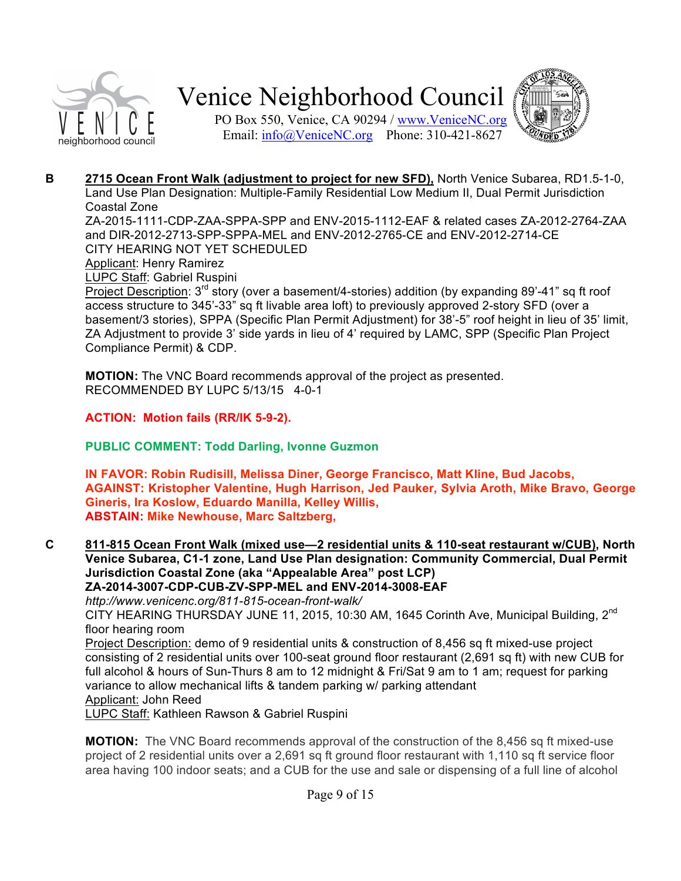

PO Box 550, Venice, CA 90294 / www.VeniceNC.org Email: info@VeniceNC.org Phone: 310-421-8627



**B 2715 Ocean Front Walk (adjustment to project for new SFD),** North Venice Subarea, RD1.5-1-0, Land Use Plan Designation: Multiple-Family Residential Low Medium II, Dual Permit Jurisdiction Coastal Zone

ZA-2015-1111-CDP-ZAA-SPPA-SPP and ENV-2015-1112-EAF & related cases ZA-2012-2764-ZAA and DIR-2012-2713-SPP-SPPA-MEL and ENV-2012-2765-CE and ENV-2012-2714-CE CITY HEARING NOT YET SCHEDULED

Applicant: Henry Ramirez

LUPC Staff: Gabriel Ruspini

Project Description:  $3<sup>rd</sup>$  story (over a basement/4-stories) addition (by expanding 89'-41" sq ft roof access structure to 345'-33" sq ft livable area loft) to previously approved 2-story SFD (over a basement/3 stories), SPPA (Specific Plan Permit Adjustment) for 38'-5" roof height in lieu of 35' limit, ZA Adjustment to provide 3' side yards in lieu of 4' required by LAMC, SPP (Specific Plan Project Compliance Permit) & CDP.

**MOTION:** The VNC Board recommends approval of the project as presented. RECOMMENDED BY LUPC 5/13/15 4-0-1

**ACTION: Motion fails (RR/IK 5-9-2).** 

**PUBLIC COMMENT: Todd Darling, Ivonne Guzmon**

**IN FAVOR: Robin Rudisill, Melissa Diner, George Francisco, Matt Kline, Bud Jacobs,** AGAINST: Kristopher Valentine, Hugh Harrison, Jed Pauker, Sylvia Aroth, Mike Bravo, George **Gineris,&Ira&Koslow,&Eduardo&Manilla,&Kelley&Willis, ABSTAIN: Mike Newhouse, Marc Saltzberg,** 

**C** 811-815 Ocean Front Walk (mixed use—2 residential units & 110-seat restaurant w/CUB), North Venice Subarea, C1-1 zone, Land Use Plan designation: Community Commercial, Dual Permit **Jurisdiction Coastal Zone (aka "Appealable Area" post LCP)** ZA-2014-3007-CDP-CUB-ZV-SPP-MEL and ENV-2014-3008-EAF

*http://www.venicenc.org/811:815:ocean:front:walk/*

CITY HEARING THURSDAY JUNE 11, 2015, 10:30 AM, 1645 Corinth Ave, Municipal Building, 2<sup>nd</sup> floor hearing room

Project Description: demo of 9 residential units & construction of 8,456 sq ft mixed-use project consisting of 2 residential units over 100-seat ground floor restaurant (2,691 sq ft) with new CUB for full alcohol & hours of Sun-Thurs 8 am to 12 midnight & Fri/Sat 9 am to 1 am; request for parking variance to allow mechanical lifts & tandem parking w/ parking attendant Applicant: John Reed

LUPC Staff: Kathleen Rawson & Gabriel Ruspini

**MOTION:** The VNC Board recommends approval of the construction of the 8,456 sq ft mixed-use project of 2 residential units over a 2,691 sq ft ground floor restaurant with 1,110 sq ft service floor area having 100 indoor seats; and a CUB for the use and sale or dispensing of a full line of alcohol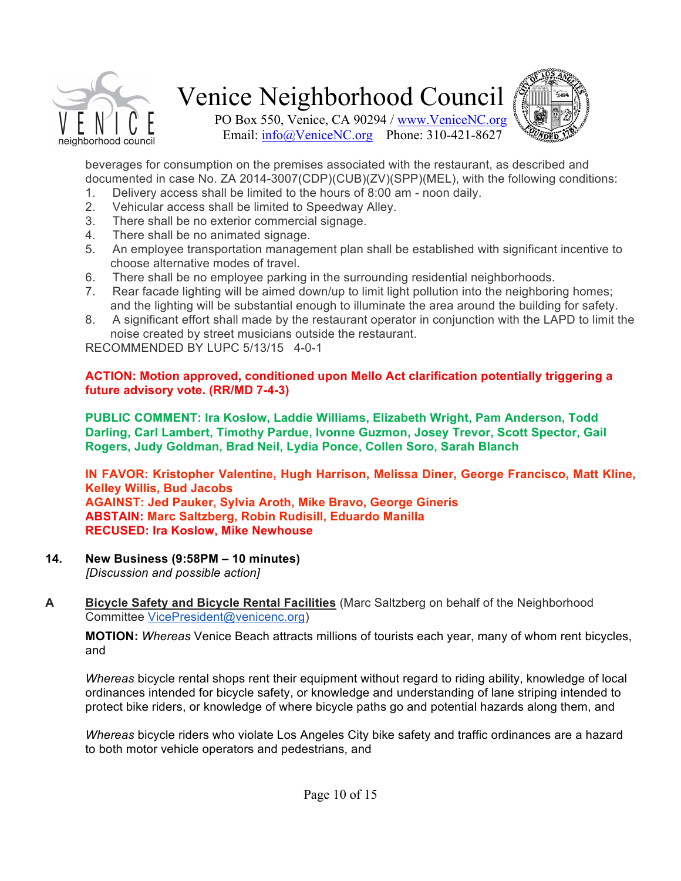



PO Box 550, Venice, CA 90294 / www.VeniceNC.org Email: info@VeniceNC.org Phone: 310-421-8627

beverages for consumption on the premises associated with the restaurant, as described and documented in case No. ZA 2014-3007(CDP)(CUB)(ZV)(SPP)(MEL), with the following conditions:

- 1. Delivery access shall be limited to the hours of 8:00 am noon daily.
- 2. Vehicular access shall be limited to Speedway Alley.
- 3. There shall be no exterior commercial signage.
- 4. There shall be no animated signage.
- 5. An employee transportation management plan shall be established with significant incentive to choose alternative modes of travel.
- 6. There shall be no employee parking in the surrounding residential neighborhoods.
- 7. Rear facade lighting will be aimed down/up to limit light pollution into the neighboring homes; and the lighting will be substantial enough to illuminate the area around the building for safety.
- 8. A significant effort shall made by the restaurant operator in conjunction with the LAPD to limit the noise created by street musicians outside the restaurant.

RECOMMENDED BY LUPC 5/13/15 4-0-1

## **ACTION: Motion approved, conditioned upon Mello Act clarification potentially triggering a future** advisory vote. (RR/MD 7-4-3)

**PUBLIC COMMENT: Ira Koslow, Laddie Williams, Elizabeth Wright, Pam Anderson, Todd Darling, Carl Lambert, Timothy Pardue, Ivonne Guzmon, Josey Trevor, Scott Spector, Gail Rogers, Judy Goldman, Brad Neil, Lydia Ponce, Collen Soro, Sarah Blanch**

**IN FAVOR: Kristopher Valentine, Hugh Harrison, Melissa Diner, George Francisco, Matt Kline, Kelley Willis, Bud Jacobs AGAINST: Jed Pauker, Sylvia Aroth, Mike Bravo, George Gineris ABSTAIN: Marc Saltzberg, Robin Rudisill, Eduardo Manilla RECUSED: Ira Koslow, Mike Newhouse** 

**14.& New&Business&(9:58PM&– 10&minutes)**

*[Discussion and possible action]* 

A **Bicycle Safety and Bicycle Rental Facilities** (Marc Saltzberg on behalf of the Neighborhood Committee VicePresident@venicenc.org)

**MOTION:** Whereas Venice Beach attracts millions of tourists each year, many of whom rent bicycles, and

*Whereas* bicycle rental shops rent their equipment without regard to riding ability, knowledge of local ordinances intended for bicycle safety, or knowledge and understanding of lane striping intended to protect bike riders, or knowledge of where bicycle paths go and potential hazards along them, and

*Whereas* bicycle riders who violate Los Angeles City bike safety and traffic ordinances are a hazard to both motor vehicle operators and pedestrians, and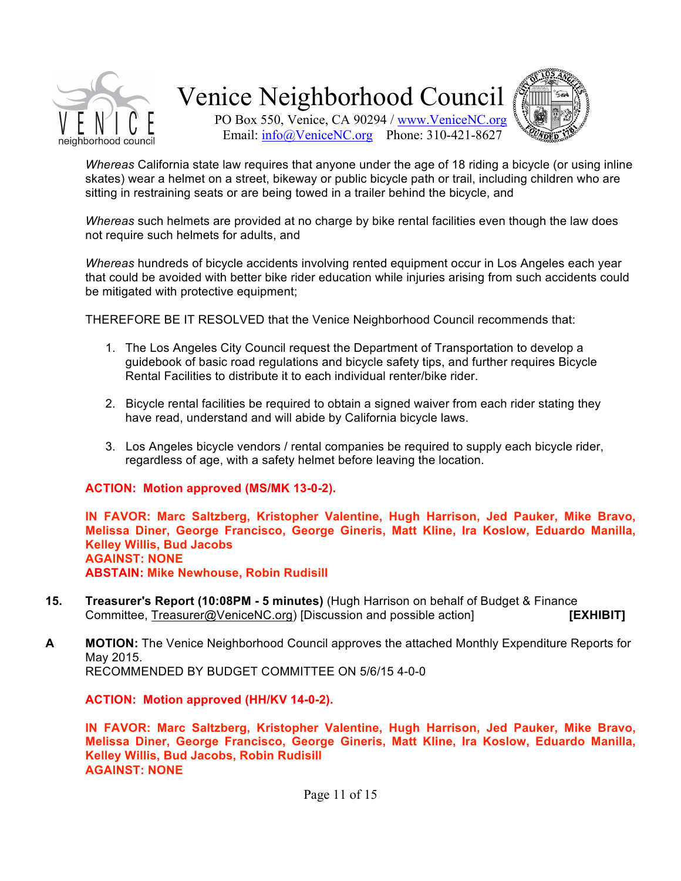



PO Box 550, Venice, CA 90294 / www.VeniceNC.org Email: info@VeniceNC.org Phone: 310-421-8627

*Whereas* California state law requires that anyone under the age of 18 riding a bicycle (or using inline skates) wear a helmet on a street, bikeway or public bicycle path or trail, including children who are sitting in restraining seats or are being towed in a trailer behind the bicycle, and

*Whereas* such helmets are provided at no charge by bike rental facilities even though the law does not require such helmets for adults, and

*Whereas* hundreds of bicycle accidents involving rented equipment occur in Los Angeles each year that could be avoided with better bike rider education while injuries arising from such accidents could be mitigated with protective equipment;

THEREFORE BE IT RESOLVED that the Venice Neighborhood Council recommends that:

- 1. The Los Angeles City Council request the Department of Transportation to develop a guidebook of basic road regulations and bicycle safety tips, and further requires Bicycle Rental Facilities to distribute it to each individual renter/bike rider.
- 2. Bicycle rental facilities be required to obtain a signed waiver from each rider stating they have read, understand and will abide by California bicycle laws.
- 3. Los Angeles bicycle vendors / rental companies be required to supply each bicycle rider, regardless of age, with a safety helmet before leaving the location.

### **ACTION: Motion approved (MS/MK 13-0-2).**

**IN FAVOR: Marc Saltzberg, Kristopher Valentine, Hugh Harrison, Jed Pauker, Mike Bravo, Melissa& Diner,& George& Francisco,& George& Gineris,& Matt& Kline,& Ira& Koslow,& Eduardo& Manilla,& Kelley Willis, Bud Jacobs AGAINST: NONE ABSTAIN: Mike Newhouse, Robin Rudisill** 

**15. Treasurer's Report (10:08PM - 5 minutes) (Hugh Harrison on behalf of Budget & Finance** Committee, Treasurer@VeniceNC.org) [Discussion and possible action] **[EXHIBIT]** 

**A MOTION:** The Venice Neighborhood Council approves the attached Monthly Expenditure Reports for May 2015. RECOMMENDED BY BUDGET COMMITTEE ON 5/6/15 4-0-0

**ACTION: Motion approved (HH/KV 14-0-2).** 

**IN FAVOR: Marc Saltzberg, Kristopher Valentine, Hugh Harrison, Jed Pauker, Mike Bravo, Melissa& Diner,& George& Francisco,& George& Gineris,& Matt& Kline,& Ira& Koslow,& Eduardo& Manilla,&** Kelley Willis, Bud Jacobs, Robin Rudisill **AGAINST: NONE**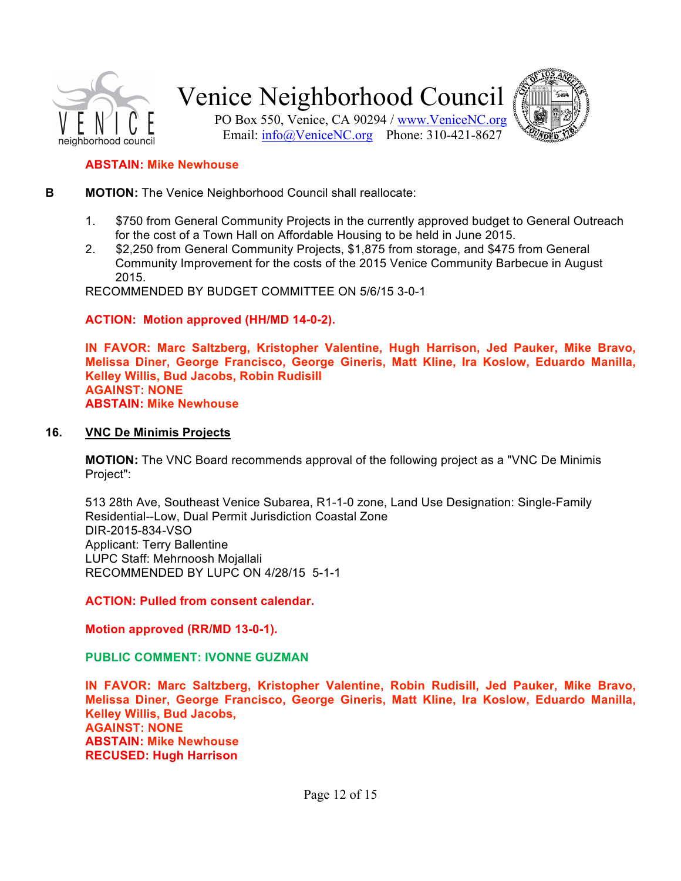



PO Box 550, Venice, CA 90294 / www.VeniceNC.org Email: info@VeniceNC.org Phone: 310-421-8627

### **ABSTAIN: Mike Newhouse**

- **B MOTION:** The Venice Neighborhood Council shall reallocate:
	- 1. \$750 from General Community Projects in the currently approved budget to General Outreach for the cost of a Town Hall on Affordable Housing to be held in June 2015.
	- 2. \$2,250 from General Community Projects, \$1,875 from storage, and \$475 from General Community Improvement for the costs of the 2015 Venice Community Barbecue in August 2015.

RECOMMENDED BY BUDGET COMMITTEE ON 5/6/15 3-0-1

**ACTION: Motion approved (HH/MD 14-0-2).** 

**IN FAVOR: Marc Saltzberg, Kristopher Valentine, Hugh Harrison, Jed Pauker, Mike Bravo, Melissa& Diner,& George& Francisco,& George& Gineris,& Matt& Kline,& Ira& Koslow,& Eduardo& Manilla,& Kelley Willis, Bud Jacobs, Robin Rudisill AGAINST: NONE ABSTAIN: Mike Newhouse** 

#### **16. VNC De Minimis Projects**

**MOTION:** The VNC Board recommends approval of the following project as a "VNC De Minimis" Project":

513 28th Ave, Southeast Venice Subarea, R1-1-0 zone, Land Use Designation: Single-Family Residential--Low, Dual Permit Jurisdiction Coastal Zone DIR-2015-834-VSO Applicant: Terry Ballentine LUPC Staff: Mehrnoosh Mojallali RECOMMENDED BY LUPC ON 4/28/15 5-1-1

**ACTION: Pulled from consent calendar.** 

**Motion approved (RR/MD 13-0-1).** 

**PUBLIC&COMMENT: IVONNE&GUZMAN**

**IN FAVOR: Marc Saltzberg, Kristopher Valentine, Robin Rudisill, Jed Pauker, Mike Bravo, Melissa& Diner,& George& Francisco,& George& Gineris,& Matt& Kline,& Ira& Koslow,& Eduardo& Manilla,&** Kelley Willis, Bud Jacobs, **AGAINST: NONE ABSTAIN: Mike Newhouse RECUSED: Hugh Harrison**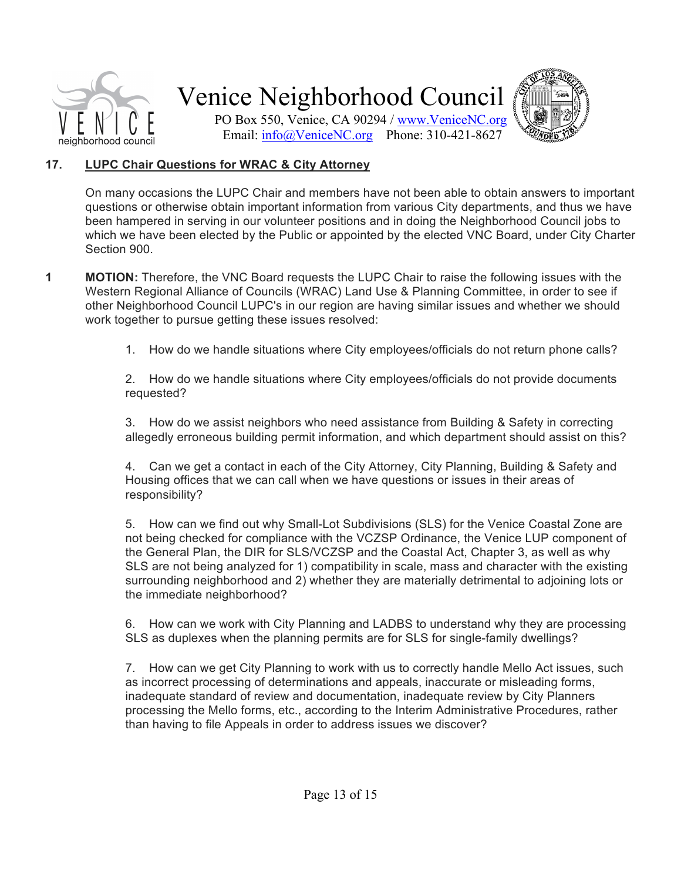



PO Box 550, Venice, CA 90294 / www.VeniceNC.org Email: info@VeniceNC.org Phone: 310-421-8627

### 17. **LUPC Chair Questions for WRAC & City Attorney**

On many occasions the LUPC Chair and members have not been able to obtain answers to important questions or otherwise obtain important information from various City departments, and thus we have been hampered in serving in our volunteer positions and in doing the Neighborhood Council jobs to which we have been elected by the Public or appointed by the elected VNC Board, under City Charter Section 900.

- **1 MOTION:** Therefore, the VNC Board requests the LUPC Chair to raise the following issues with the Western Regional Alliance of Councils (WRAC) Land Use & Planning Committee, in order to see if other Neighborhood Council LUPC's in our region are having similar issues and whether we should work together to pursue getting these issues resolved:
	- 1. How do we handle situations where City employees/officials do not return phone calls?

2. How do we handle situations where City employees/officials do not provide documents requested?

3. How do we assist neighbors who need assistance from Building & Safety in correcting allegedly erroneous building permit information, and which department should assist on this?

4. Can we get a contact in each of the City Attorney, City Planning, Building & Safety and Housing offices that we can call when we have questions or issues in their areas of responsibility?

5. How can we find out why Small-Lot Subdivisions (SLS) for the Venice Coastal Zone are not being checked for compliance with the VCZSP Ordinance, the Venice LUP component of the General Plan, the DIR for SLS/VCZSP and the Coastal Act, Chapter 3, as well as why SLS are not being analyzed for 1) compatibility in scale, mass and character with the existing surrounding neighborhood and 2) whether they are materially detrimental to adjoining lots or the immediate neighborhood?

6. How can we work with City Planning and LADBS to understand why they are processing SLS as duplexes when the planning permits are for SLS for single-family dwellings?

7. How can we get City Planning to work with us to correctly handle Mello Act issues, such as incorrect processing of determinations and appeals, inaccurate or misleading forms, inadequate standard of review and documentation, inadequate review by City Planners processing the Mello forms, etc., according to the Interim Administrative Procedures, rather than having to file Appeals in order to address issues we discover?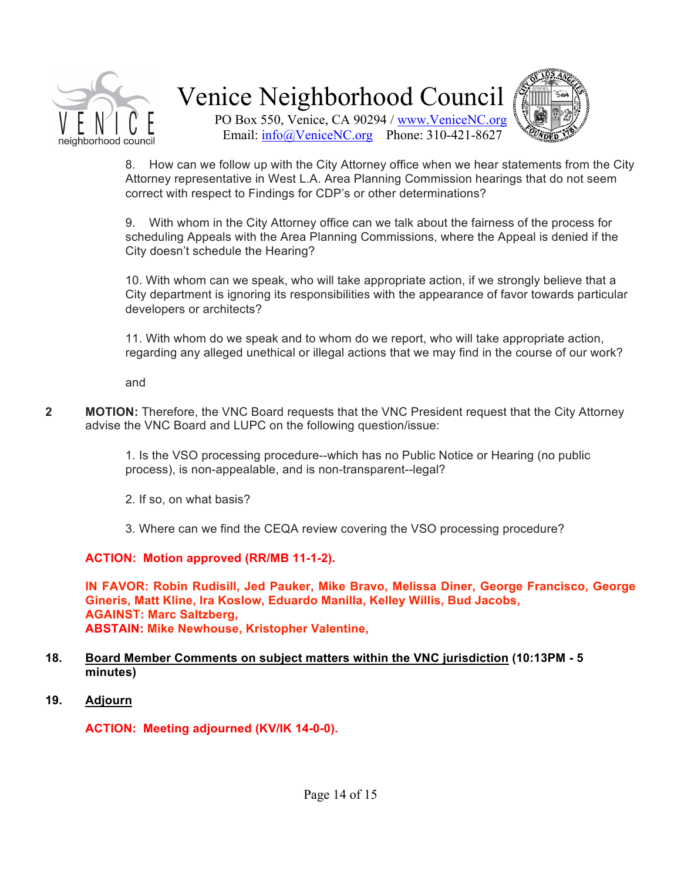



PO Box 550, Venice, CA 90294 / www.VeniceNC.org Email: info@VeniceNC.org Phone: 310-421-8627

8. How can we follow up with the City Attorney office when we hear statements from the City Attorney representative in West L.A. Area Planning Commission hearings that do not seem correct with respect to Findings for CDP's or other determinations?

9. With whom in the City Attorney office can we talk about the fairness of the process for scheduling Appeals with the Area Planning Commissions, where the Appeal is denied if the City doesn't schedule the Hearing?

10. With whom can we speak, who will take appropriate action, if we strongly believe that a City department is ignoring its responsibilities with the appearance of favor towards particular developers or architects?

11. With whom do we speak and to whom do we report, who will take appropriate action, regarding any alleged unethical or illegal actions that we may find in the course of our work?

and

**2 MOTION:** Therefore, the VNC Board requests that the VNC President request that the City Attorney advise the VNC Board and LUPC on the following question/issue:

> 1. Is the VSO processing procedure--which has no Public Notice or Hearing (no public process), is non-appealable, and is non-transparent--legal?

- 2. If so, on what basis?
- 3. Where can we find the CEQA review covering the VSO processing procedure?

**ACTION: Motion approved (RR/MB 11-1-2).** 

**IN FAVOR: Robin Rudisill, Jed Pauker, Mike Bravo, Melissa Diner, George Francisco, George** Gineris, Matt Kline, Ira Koslow, Eduardo Manilla, Kelley Willis, Bud Jacobs, **AGAINST: Marc Saltzberg, ABSTAIN: Mike Newhouse, Kristopher Valentine,** 

#### **18.** Board Member Comments on subject matters within the VNC jurisdiction (10:13PM - 5 **minutes)**

19. Adjourn

**ACTION: Meeting adjourned (KV/IK 14-0-0).**